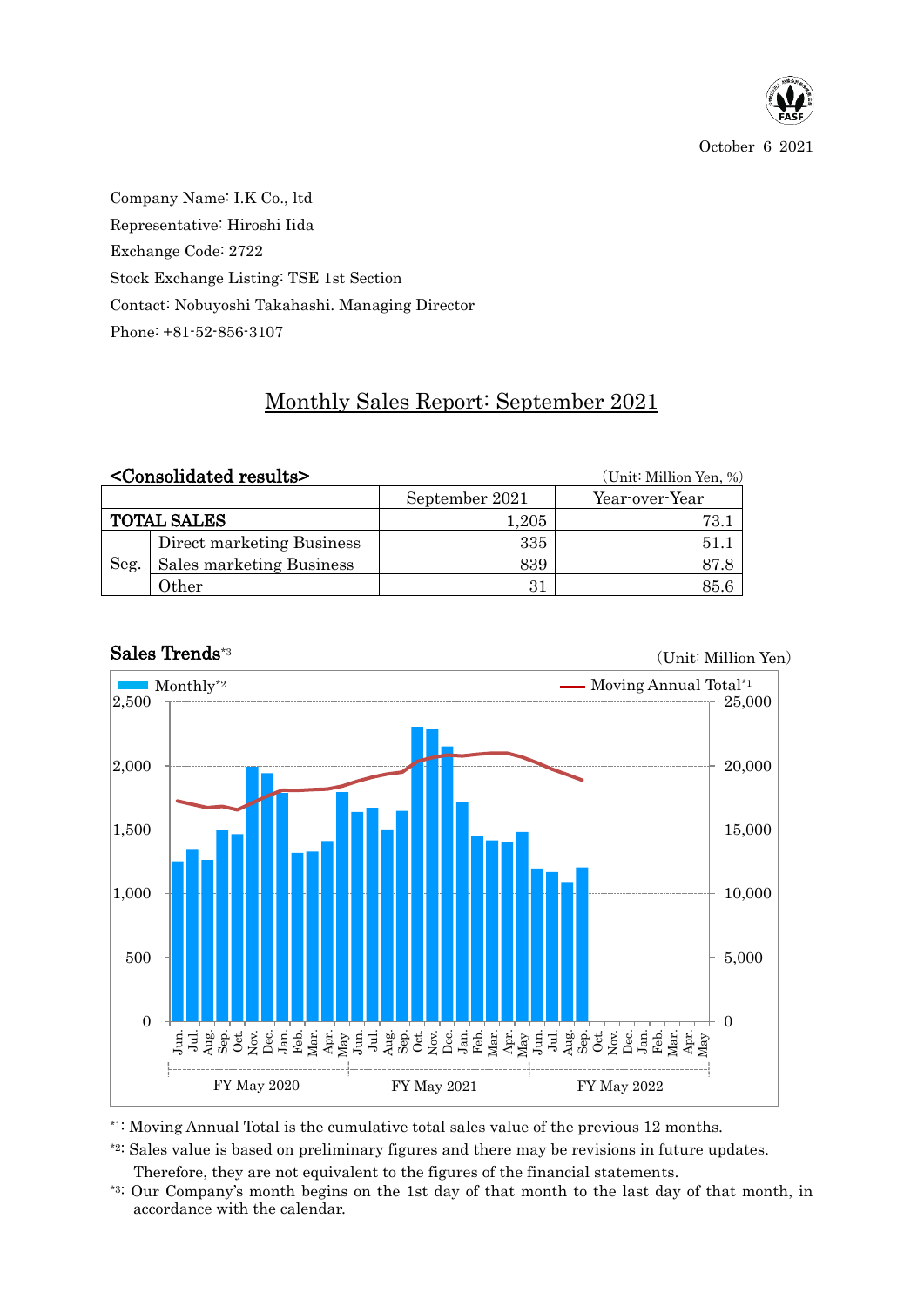

October 6 2021

Company Name: I.K Co., ltd Representative: Hiroshi Iida Exchange Code: 2722 Stock Exchange Listing: TSE 1st Section Contact: Nobuyoshi Takahashi. Managing Director Phone: +81-52-856-3107

## Monthly Sales Report: September 2021

|                    | <consolidated results=""></consolidated> |                | (Unit: Million Yen, %) |  |  |  |  |
|--------------------|------------------------------------------|----------------|------------------------|--|--|--|--|
|                    |                                          | September 2021 | Year-over-Year         |  |  |  |  |
| <b>TOTAL SALES</b> |                                          | 1,205          | 73.1                   |  |  |  |  |
| Seg.               | Direct marketing Business                | 335            | 51.1                   |  |  |  |  |
|                    | Sales marketing Business                 | 839            | 87.8                   |  |  |  |  |
|                    | Other                                    | 31             | 85.6                   |  |  |  |  |



## Sales Trends\*3

(Unit: Million Yen)

\*1: Moving Annual Total is the cumulative total sales value of the previous 12 months.

\*2: Sales value is based on preliminary figures and there may be revisions in future updates.

Therefore, they are not equivalent to the figures of the financial statements.

\*3: Our Company's month begins on the 1st day of that month to the last day of that month, in accordance with the calendar.